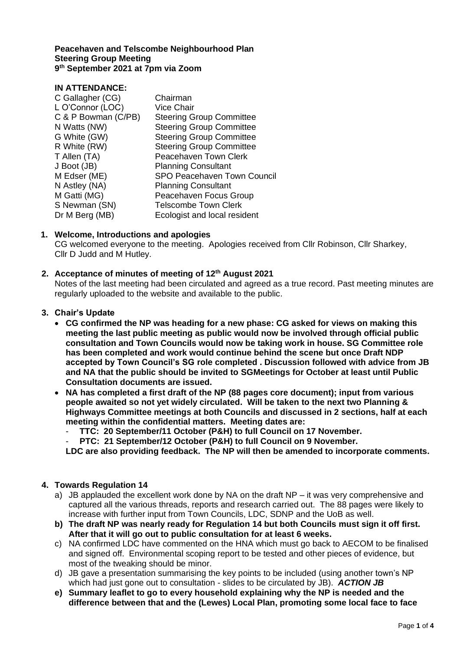#### **Peacehaven and Telscombe Neighbourhood Plan Steering Group Meeting 9 th September 2021 at 7pm via Zoom**

# **IN ATTENDANCE:**

| Chairman                        |
|---------------------------------|
| <b>Vice Chair</b>               |
| <b>Steering Group Committee</b> |
| <b>Steering Group Committee</b> |
| <b>Steering Group Committee</b> |
| <b>Steering Group Committee</b> |
| Peacehaven Town Clerk           |
| <b>Planning Consultant</b>      |
| SPO Peacehaven Town Council     |
| <b>Planning Consultant</b>      |
| Peacehaven Focus Group          |
| <b>Telscombe Town Clerk</b>     |
| Ecologist and local resident    |
|                                 |

# **1. Welcome, Introductions and apologies**

CG welcomed everyone to the meeting. Apologies received from Cllr Robinson, Cllr Sharkey, Cllr D Judd and M Hutley.

### **2. Acceptance of minutes of meeting of 12th August 2021**

Notes of the last meeting had been circulated and agreed as a true record. Past meeting minutes are regularly uploaded to the website and available to the public.

### **3. Chair's Update**

- **CG confirmed the NP was heading for a new phase: CG asked for views on making this meeting the last public meeting as public would now be involved through official public consultation and Town Councils would now be taking work in house. SG Committee role has been completed and work would continue behind the scene but once Draft NDP accepted by Town Council's SG role completed . Discussion followed with advice from JB and NA that the public should be invited to SGMeetings for October at least until Public Consultation documents are issued.**
- **NA has completed a first draft of the NP (88 pages core document); input from various people awaited so not yet widely circulated. Will be taken to the next two Planning & Highways Committee meetings at both Councils and discussed in 2 sections, half at each meeting within the confidential matters. Meeting dates are:** 
	- **TTC: 20 September/11 October (P&H) to full Council on 17 November.** 
		- **PTC: 21 September/12 October (P&H) to full Council on 9 November.**

**LDC are also providing feedback. The NP will then be amended to incorporate comments.**

### **4. Towards Regulation 14**

- a) JB applauded the excellent work done by NA on the draft NP it was very comprehensive and captured all the various threads, reports and research carried out. The 88 pages were likely to increase with further input from Town Councils, LDC, SDNP and the UoB as well.
- **b) The draft NP was nearly ready for Regulation 14 but both Councils must sign it off first. After that it will go out to public consultation for at least 6 weeks.**
- c) NA confirmed LDC have commented on the HNA which must go back to AECOM to be finalised and signed off. Environmental scoping report to be tested and other pieces of evidence, but most of the tweaking should be minor.
- d) JB gave a presentation summarising the key points to be included (using another town's NP which had just gone out to consultation - slides to be circulated by JB). *ACTION JB*
- **e) Summary leaflet to go to every household explaining why the NP is needed and the difference between that and the (Lewes) Local Plan, promoting some local face to face**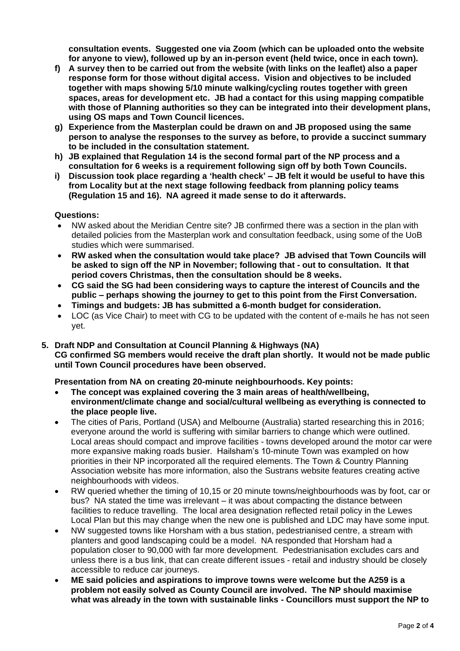**consultation events. Suggested one via Zoom (which can be uploaded onto the website for anyone to view), followed up by an in-person event (held twice, once in each town).** 

- **f) A survey then to be carried out from the website (with links on the leaflet) also a paper response form for those without digital access. Vision and objectives to be included together with maps showing 5/10 minute walking/cycling routes together with green spaces, areas for development etc. JB had a contact for this using mapping compatible with those of Planning authorities so they can be integrated into their development plans, using OS maps and Town Council licences.**
- **g) Experience from the Masterplan could be drawn on and JB proposed using the same person to analyse the responses to the survey as before, to provide a succinct summary to be included in the consultation statement.**
- **h) JB explained that Regulation 14 is the second formal part of the NP process and a consultation for 6 weeks is a requirement following sign off by both Town Councils.**
- **i) Discussion took place regarding a 'health check' – JB felt it would be useful to have this from Locality but at the next stage following feedback from planning policy teams (Regulation 15 and 16). NA agreed it made sense to do it afterwards.**

#### **Questions:**

- NW asked about the Meridian Centre site? JB confirmed there was a section in the plan with detailed policies from the Masterplan work and consultation feedback, using some of the UoB studies which were summarised.
- **RW asked when the consultation would take place? JB advised that Town Councils will be asked to sign off the NP in November; following that - out to consultation. It that period covers Christmas, then the consultation should be 8 weeks.**
- **CG said the SG had been considering ways to capture the interest of Councils and the public – perhaps showing the journey to get to this point from the First Conversation.**
- **Timings and budgets: JB has submitted a 6-month budget for consideration.**
- LOC (as Vice Chair) to meet with CG to be updated with the content of e-mails he has not seen yet.

# **5. Draft NDP and Consultation at Council Planning & Highways (NA) CG confirmed SG members would receive the draft plan shortly. It would not be made public until Town Council procedures have been observed.**

### **Presentation from NA on creating 20-minute neighbourhoods. Key points:**

- **The concept was explained covering the 3 main areas of health/wellbeing, environment/climate change and social/cultural wellbeing as everything is connected to the place people live.**
- The cities of Paris, Portland (USA) and Melbourne (Australia) started researching this in 2016; everyone around the world is suffering with similar barriers to change which were outlined. Local areas should compact and improve facilities - towns developed around the motor car were more expansive making roads busier. Hailsham's 10-minute Town was exampled on how priorities in their NP incorporated all the required elements. The Town & Country Planning Association website has more information, also the Sustrans website features creating active neighbourhoods with videos.
- RW queried whether the timing of 10,15 or 20 minute towns/neighbourhoods was by foot, car or bus? NA stated the time was irrelevant – it was about compacting the distance between facilities to reduce travelling. The local area designation reflected retail policy in the Lewes Local Plan but this may change when the new one is published and LDC may have some input.
- NW suggested towns like Horsham with a bus station, pedestrianised centre, a stream with planters and good landscaping could be a model. NA responded that Horsham had a population closer to 90,000 with far more development. Pedestrianisation excludes cars and unless there is a bus link, that can create different issues - retail and industry should be closely accessible to reduce car journeys.
- **ME said policies and aspirations to improve towns were welcome but the A259 is a problem not easily solved as County Council are involved. The NP should maximise what was already in the town with sustainable links - Councillors must support the NP to**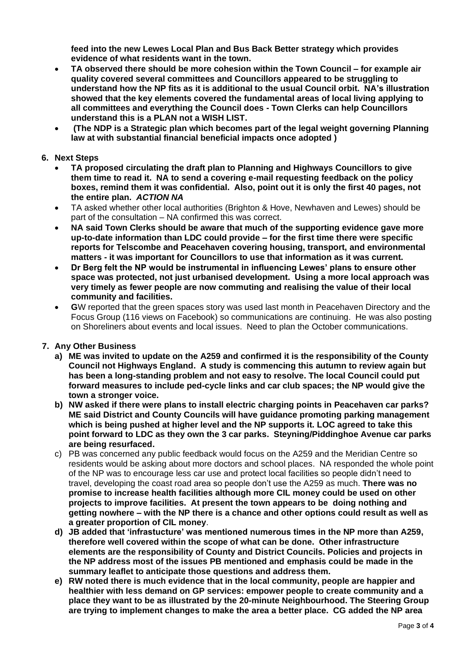**feed into the new Lewes Local Plan and Bus Back Better strategy which provides evidence of what residents want in the town.** 

- **TA observed there should be more cohesion within the Town Council – for example air quality covered several committees and Councillors appeared to be struggling to understand how the NP fits as it is additional to the usual Council orbit. NA's illustration showed that the key elements covered the fundamental areas of local living applying to all committees and everything the Council does - Town Clerks can help Councillors understand this is a PLAN not a WISH LIST.**
- **(The NDP is a Strategic plan which becomes part of the legal weight governing Planning law at with substantial financial beneficial impacts once adopted )**

#### **6. Next Steps**

- **TA proposed circulating the draft plan to Planning and Highways Councillors to give them time to read it. NA to send a covering e-mail requesting feedback on the policy boxes, remind them it was confidential. Also, point out it is only the first 40 pages, not the entire plan.** *ACTION NA*
- TA asked whether other local authorities (Brighton & Hove, Newhaven and Lewes) should be part of the consultation – NA confirmed this was correct.
- **NA said Town Clerks should be aware that much of the supporting evidence gave more up-to-date information than LDC could provide – for the first time there were specific reports for Telscombe and Peacehaven covering housing, transport, and environmental matters - it was important for Councillors to use that information as it was current.**
- **Dr Berg felt the NP would be instrumental in influencing Lewes' plans to ensure other space was protected, not just urbanised development. Using a more local approach was very timely as fewer people are now commuting and realising the value of their local community and facilities.**
- **G**W reported that the green spaces story was used last month in Peacehaven Directory and the Focus Group (116 views on Facebook) so communications are continuing. He was also posting on Shoreliners about events and local issues. Need to plan the October communications.

### **7. Any Other Business**

- **a) ME was invited to update on the A259 and confirmed it is the responsibility of the County Council not Highways England. A study is commencing this autumn to review again but has been a long-standing problem and not easy to resolve. The local Council could put forward measures to include ped-cycle links and car club spaces; the NP would give the town a stronger voice.**
- **b) NW asked if there were plans to install electric charging points in Peacehaven car parks? ME said District and County Councils will have guidance promoting parking management which is being pushed at higher level and the NP supports it. LOC agreed to take this point forward to LDC as they own the 3 car parks. Steyning/Piddinghoe Avenue car parks are being resurfaced.**
- c) PB was concerned any public feedback would focus on the A259 and the Meridian Centre so residents would be asking about more doctors and school places. NA responded the whole point of the NP was to encourage less car use and protect local facilities so people didn't need to travel, developing the coast road area so people don't use the A259 as much. **There was no promise to increase health facilities although more CIL money could be used on other projects to improve facilities. At present the town appears to be doing nothing and getting nowhere – with the NP there is a chance and other options could result as well as a greater proportion of CIL money**.
- **d) JB added that 'infrastucture' was mentioned numerous times in the NP more than A259, therefore well covered within the scope of what can be done. Other infrastructure elements are the responsibility of County and District Councils. Policies and projects in the NP address most of the issues PB mentioned and emphasis could be made in the summary leaflet to anticipate those questions and address them.**
- **e) RW noted there is much evidence that in the local community, people are happier and healthier with less demand on GP services: empower people to create community and a place they want to be as illustrated by the 20-minute Neighbourhood. The Steering Group are trying to implement changes to make the area a better place. CG added the NP area**